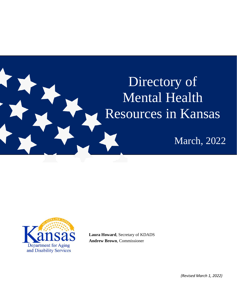# <span id="page-0-0"></span>Directory of Mental Health Resources in Kansas

March, 2022



**Laura Howard**, Secretary of KDADS **Andrew Brown**, Commissioner

*(Revised March 1, 2022)*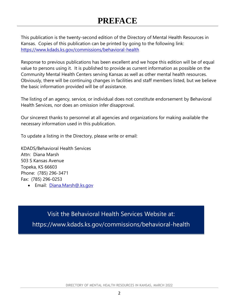## **PREFACE**

This publication is the twenty-second edition of the Directory of Mental Health Resources in Kansas. Copies of this publication can be printed by going to the following link: https://www.kdads.ks.gov/commissions/behavioral-health

Response to previous publications has been excellent and we hope this edition will be of equal value to persons using it. It is published to provide as current information as possible on the Community Mental Health Centers serving Kansas as well as other mental health resources. Obviously, there will be continuing changes in facilities and staff members listed, but we believe the basic information provided will be of assistance.

The listing of an agency, service, or individual does not constitute endorsement by Behavioral Health Services, nor does an omission infer disapproval.

Our sincerest thanks to personnel at all agencies and organizations for making available the necessary information used in this publication.

To update a listing in the Directory, please write or email:

KDADS/Behavioral Health Services Attn: Diana Marsh 503 S Kansas Avenue Topeka, KS 66603 Phone: (785) 296-3471 Fax: (785) 296-0253

• Email: [Diana.Marsh@.ks.gov](mailto:Diana.Marsh@.ks.gov)

Visit the Behavioral Health Services Website at:

<span id="page-1-0"></span>https://www.kdads.ks.gov/commissions/behavioral-health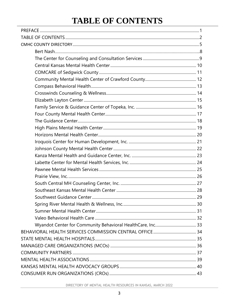## **TABLE OF CONTENTS**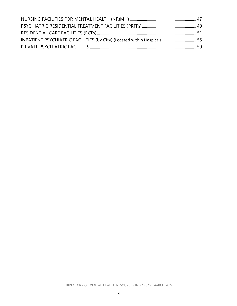<span id="page-3-0"></span>

| INPATIENT PSYCHIATRIC FACILITIES (by City) (Located within Hospitals)  55 |  |
|---------------------------------------------------------------------------|--|
|                                                                           |  |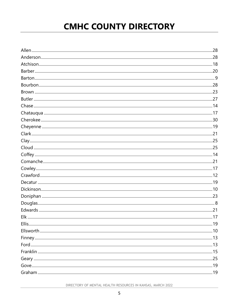## **CMHC COUNTY DIRECTORY**

<span id="page-4-0"></span>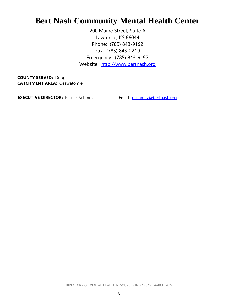## **Bert Nash Community Mental Health Center**

200 Maine Street, Suite A Lawrence, KS 66044 Phone: (785) 843-9192 Fax: (785) 843-2219 Emergency: (785) 843-9192 Website: [http://www.bertnash.org](http://www.bertnash.org/)

**COUNTY SERVED:** Douglas **CATCHMENT AREA:** Osawatomie

**EXECUTIVE DIRECTOR:** Patrick Schmitz **Email:** [pschmitz@bertnash.org](mailto:pschmitz@bertnash.org)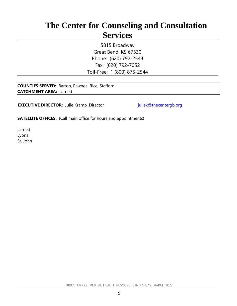## <span id="page-8-0"></span>**The Center for Counseling and Consultation Services**

5815 Broadway Great Bend, KS 67530 Phone: (620) 792-2544 Fax: (620) 792-7052 Toll-Free: 1 (800) 875-2544

**COUNTIES SERVED:** Barton, Pawnee, Rice, Stafford **CATCHMENT AREA:** Larned

**EXECUTIVE DIRECTOR:** Julie Kramp, Director *[juliek@thecentergb.org](mailto:juliek@thecentergb.org)* 

**SATELLITE OFFICES:** (Call main office for hours and appointments)

Larned Lyons St. John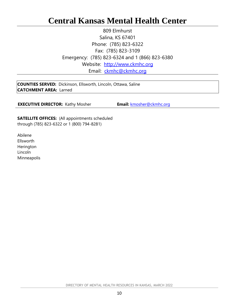## <span id="page-9-0"></span>**Central Kansas Mental Health Center**

809 Elmhurst Salina, KS 67401 Phone: (785) 823-6322 Fax: (785) 823-3109 Emergency: (785) 823-6324 and 1 (866) 823-6380 Website: [http://www.ckmhc.org](http://www.ckmhc.org/) Email: [ckmhc@ckmhc.org](mailto:ckmhc@ckmhc.org)

**COUNTIES SERVED:** Dickinson, Ellsworth, Lincoln, Ottawa, Saline **CATCHMENT AREA:** Larned

**EXECUTIVE DIRECTOR:** Kathy Mosher **Email:** [kmosher@ckmhc.org](mailto:kmosher@ckmhc.org)

**SATELLITE OFFICES:** (All appointments scheduled through (785) 823-6322 or 1 (800) 794-8281)

Abilene Ellsworth Herington Lincoln **Minneapolis**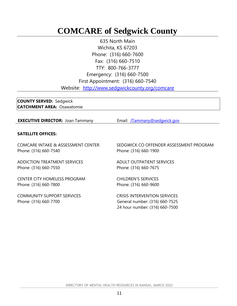## <span id="page-10-0"></span>**COMCARE of Sedgwick County**

635 North Main Wichita, KS 67203 Phone: (316) 660-7600 Fax: (316) 660-7510 TTY: 800-766-3777 Emergency: (316) 660-7500 First Appointment: (316) 660-7540 Website: <http://www.sedgwickcounty.org/comcare>

**COUNTY SERVED:** Sedgwick **CATCHMENT AREA:** Osawatomie

**EXECUTIVE DIRECTOR:** Joan Tammany **Email:** [JTammany@sedgwick.gov](mailto:JTammany@sedgwick.gov)

#### **SATELLITE OFFICES:**

COMCARE INTAKE & ASSESSMENT CENTER Phone: (316) 660-7540

ADDICTION TREATMENT SERVICES Phone: (316) 660-7550

CENTER CITY HOMELESS PROGRAM Phone: (316) 660-7800

COMMUNITY SUPPORT SERVICES Phone: (316) 660-7700

SEDGWICK CO OFFENDER ASSESSMENT PROGRAM Phone: (316) 660-1900

ADULT OUTPATIENT SERVICES Phone: (316) 660-7675

CHILDREN'S SERVICES Phone: (316) 660-9600

CRISIS INTERVENTION SERVICES General number: (316) 660-7525 24 hour number: (316) 660-7500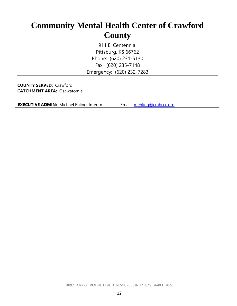## <span id="page-11-0"></span>**Community Mental Health Center of Crawford County**

911 E. Centennial Pittsburg, KS 66762 Phone: (620) 231-5130 Fax: (620) 235-7148 Emergency: (620) 232-7283

**COUNTY SERVED:** Crawford **CATCHMENT AREA:** Osawatomie

**EXECUTIVE ADMIN:** Michael Ehling, Interim Email: [mehling@cmhccc.org](mailto:mehling@cmhccc.org)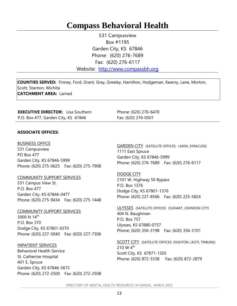## <span id="page-12-0"></span>**Compass Behavioral Health**

531 Campusview Box #1195 Garden City, KS 67846 Phone: (620) 276-7689 Fax: (620) 276-6117

Website: [http://www.compassbh.org](http://www.areamhc.org/)

**COUNTIES SERVED:** Finney, Ford, Grant, Gray, Greeley, Hamilton, Hodgeman, Kearny, Lane, Morton, Scott, Stanton, Wichita **CATCHMENT AREA:** Larned

**EXECUTIVE DIRECTOR:** Lisa Southern P.O. Box 477, Garden City, KS 67846

Phone: (620) 276-6470 Fax: (620) 276-0501

#### **ASSOCIATE OFFICES:**

BUSINESS OFFICE

531 Campusview PO Box 477 Garden City, KS 67846-5999 Phone: (620) 275-0625 Fax: (620) 275-7908

COMMUNITY SUPPORT SERVICES

531 Campus View St. P.O. Box 477 Garden City, KS 67846-0477 Phone: (620) 275-9434 Fax: (620) 275-1448

COMMUNITY SUPPORT SERVICES 3000 N 14<sup>th</sup> P.O. Box 370 Dodge City, KS 67801-0370 Phone: (620) 227-5040 Fax: (620) 227-7306

INPATIENT SERVICES Behavioral Health Service St. Catherine Hospital 401 E. Spruce Garden City, KS 67846-5672 Phone: (620) 272-2500 Fax: (620) 272-2508 GARDEN CITY (SATELLITE OFFICES: LAKIN, SYRACUSE) 1111 East Spruce Garden City, KS 67846-5999 Phone: (620) 276-7689 Fax: (620) 276-6117

DODGE CITY 2101 W. Highway 50 Bypass P.O. Box 1376 Dodge City, KS 67801-1376 Phone: (620) 227-8566 Fax: (620) 225-5824

ULYSSES (SATELLITE OFFICES: ELKHART, JOHNSON CITY) 404 N. Baughman P.O. Box 757 Ulysses, KS 67880-0757 Phone: (620) 356-3198 Fax: (620) 356-3101

SCOTT CITY (SATELLITE OFFICES: DIGHTON, LEOTI, TRIBUNE) 210 W  $4^{\text{th}}$ Scott City, KS 67871-1205 Phone: (620) 872-5338 Fax: (620) 872-2879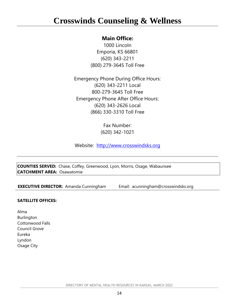## <span id="page-13-0"></span>**Crosswinds Counseling & Wellness**

#### **Main Office:**

1000 Lincoln Emporia, KS 66801 (620) 343-2211 (800) 279-3645 Toll Free

Emergency Phone During Office Hours: (620) 343-2211 Local 800-279-3645 Toll Free Emergency Phone After Office Hours: (620) 343-2626 Local (866) 330-3310 Toll Free

> Fax Number: (620) 342-1021

Website: [http://www.crosswindsks.org](http://www.crosswindsks.org/)

**COUNTIES SERVED:** Chase, Coffey, Greenwood, Lyon, Morris, Osage, Wabaunsee **CATCHMENT AREA:** Osawatomie

**EXECUTIVE DIRECTOR:** Amanda Cunningham Email: [acunningham@crosswindsks.org](mailto:acunningham@crosswindsks.org)

#### **SATELLITE OFFICES:**

Alma Burlington Cottonwood Falls Council Grove Eureka Lyndon Osage City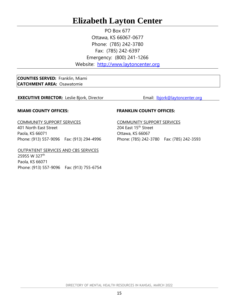## <span id="page-14-0"></span>**Elizabeth Layton Center**

PO Box 677 Ottawa, KS 66067-0677 Phone: (785) 242-3780 Fax: (785) 242-6397 Emergency: (800) 241-1266 Website: [http://www.laytoncenter.org](http://www.laytoncenter.org/)

**COUNTIES SERVED:** Franklin, Miami **CATCHMENT AREA:** Osawatomie

**EXECUTIVE DIRECTOR:** Leslie Bjork, Director **Email:** [lbjork@laytoncenter.org](mailto:lbjork@laytoncenter.org)

#### **MIAMI COUNTY OFFICES:**

COMMUNITY SUPPORT SERVICES 401 North East Street Paola, KS 66071 Phone: (913) 557-9096 Fax: (913) 294-4996

OUTPATIENT SERVICES AND CBS SERVICES

25955 W 327<sup>th</sup> Paola, KS 66071 Phone: (913) 557-9096 Fax: (913) 755-6754

#### **FRANKLIN COUNTY OFFICES:**

COMMUNITY SUPPORT SERVICES 204 East 15<sup>th</sup> Street Ottawa, KS 66067 Phone: (785) 242-3780 Fax: (785) 242-3593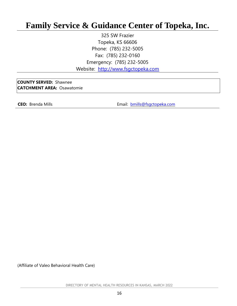## <span id="page-15-0"></span>**Family Service & Guidance Center of Topeka, Inc.**

325 SW Frazier Topeka, KS 66606 Phone: (785) 232-5005 Fax: (785) 232-0160 Emergency: (785) 232-5005 Website: [http://www.fsgctopeka.com](http://www.fsgctopeka.com/)

**COUNTY SERVED:** Shawnee **CATCHMENT AREA:** Osawatomie

**CEO:** Brenda Mills **CEO:** Brenda Mills **EMAIL:** Email: **[bmills@fsgctopeka.com](mailto:bmills@fsgctopeka.com)** 

(Affiliate of Valeo Behavioral Health Care)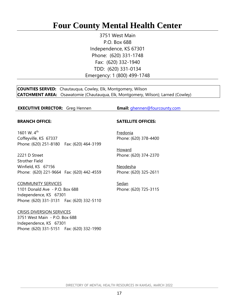## <span id="page-16-0"></span>**Four County Mental Health Center**

3751 West Main P.O. Box 688 Independence, KS 67301 Phone: (620) 331-1748 Fax: (620) 332-1940 TDD: (620) 331-0134 Emergency: 1 (800) 499-1748

**COUNTIES SERVED:** Chautauqua, Cowley, Elk, Montgomery, Wilson **CATCHMENT AREA:** Osawatomie (Chautauqua, Elk, Montgomery, Wilson); Larned (Cowley)

#### **EXECUTIVE DIRECTOR:** Greg Hennen **Email:** [ghennen@fourcounty.com](mailto:ghennen@fourcounty.com)

#### **BRANCH OFFICE:**

1601 W.  $4^{th}$ Coffeyville, KS 67337 Phone: (620) 251-8180 Fax: (620) 464-3199

2221 D Street Strother Field Winfield, KS 67156 Phone: (620) 221-9664 Fax: (620) 442-4559

COMMUNITY SERVICES

1101 Donald Ave - P.O. Box 688 Independence, KS 67301 Phone: (620) 331-3131 Fax: (620) 332-5110

CRISIS DIVERSION SERVICES 3751 West Main - P.O. Box 688 Independence, KS 67301 Phone: (620) 331-5151 Fax: (620) 332-1990

#### **SATELLITE OFFICES:**

Fredonia Phone: (620) 378-4400

Howard Phone: (620) 374-2370

Neodesha Phone: (620) 325-2611

Sedan Phone: (620) 725-3115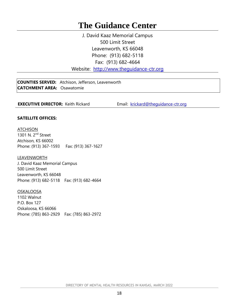## <span id="page-17-0"></span>**The Guidance Center**

J. David Kaaz Memorial Campus 500 Limit Street Leavenworth, KS 66048 Phone: (913) 682-5118 Fax: (913) 682-4664

Website: http://www.thequidance-ctr.org

**COUNTIES SERVED:** Atchison, Jefferson, Leavenworth **CATCHMENT AREA:** Osawatomie

**EXECUTIVE DIRECTOR:** Keith Rickard **Email:** krickard@thequidance-ctr.org

#### **SATELLITE OFFICES:**

ATCHISON 1301 N. 2<sup>nd</sup> Street Atchison, KS 66002 Phone: (913) 367-1593 Fax: (913) 367-1627

LEAVENWORTH J. David Kaaz Memorial Campus 500 Limit Street Leavenworth, KS 66048 Phone: (913) 682-5118 Fax: (913) 682-4664

OSKALOOSA 1102 Walnut P.O. Box 127 Oskaloosa, KS 66066 Phone: (785) 863-2929 Fax: (785) 863-2972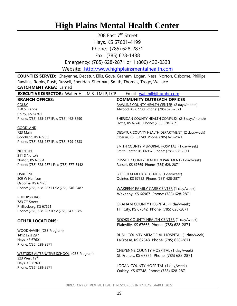## <span id="page-18-0"></span>**High Plains Mental Health Center**

208 East 7<sup>th</sup> Street Hays, KS 67601-4199 Phone: (785) 628-2871

Fax: (785) 628-1438

Emergency: (785) 628-2871 or 1 (800) 432-0333

Website: [http://www.highplainsmentalhealth.com](http://www.highplainsmentalhealth.com/)

**COUNTIES SERVED:** Cheyenne, Decatur, Ellis, Gove, Graham, Logan, Ness, Norton, Osborne, Phillips, Rawlins, Rooks, Rush, Russell, Sheridan, Sherman, Smith, Thomas, Trego, Wallace **CATCHMENT AREA:** Larned

| <b>EXECUTIVE DIRECTOR: Walter Hill, M.S., LMLP, LCP</b> | Email: walt.hill@hpmhc.com                                                               |
|---------------------------------------------------------|------------------------------------------------------------------------------------------|
| <b>BRANCH OFFICES:</b>                                  | <b>COMMUNITY OUTREACH OFFICES</b>                                                        |
| <b>COLBY</b>                                            | RAWLINS COUNTY HEALTH CENTER (2 days/month)                                              |
| 750 S. Range                                            | Atwood, KS 67730 Phone: (785) 628-2871                                                   |
| Colby, KS 67701                                         |                                                                                          |
| Phone: (785) 628-2871Fax: (785) 462-3690                | SHERIDAN COUNTY HEALTH COMPLEX (2-3 days/month)<br>Hoxie, KS 67740 Phone: (785) 628-2871 |
| <b>GOODLAND</b>                                         |                                                                                          |
| 723 Main                                                | DECATUR COUNTY HEALTH DEPARTMENT (2 days/week)                                           |
| Goodland, KS 67735                                      | Oberlin, KS 67749 Phone: (785) 628-2871                                                  |
| Phone: (785) 628-2871Fax: (785) 899-2533                |                                                                                          |
|                                                         | SMITH COUNTY MEMORIAL HOSPITAL (1 day/week)                                              |
| <u>NORTON</u>                                           | Smith Center, KS 66967 Phone: (785) 628-2871                                             |
| 211 S Norton                                            |                                                                                          |
| Norton, KS 67654                                        | RUSSELL COUNTY HEALTH DEPARTMENT (1 day/week)                                            |
| Phone: (785) 628-2871 Fax: (785) 877-5142               | Russell, KS 67665 Phone: (785) 628-2871                                                  |
|                                                         |                                                                                          |
| <u>OSBORNE</u>                                          | <b>BLUESTEM MEDICAL CENTER (1 day/week)</b>                                              |
| 209 W Harrison                                          | Quinter, KS 67752 Phone: (785) 628-2871                                                  |
| Osborne, KS 67473                                       |                                                                                          |
| Phone: (785) 628-2871 Fax: (785) 346-2487               | <b>WAKEENY FAMILY CARE CENTER (1 day/week)</b>                                           |
|                                                         | Wakeeny, KS 66967 Phone: (785) 628-2871                                                  |
| <b>PHILLIPSBURG</b>                                     |                                                                                          |
| 783 7 <sup>th</sup> Street                              |                                                                                          |
| Phillipsburg, KS 67661                                  | <b>GRAHAM COUNTY HOSPITAL (1 day/week)</b>                                               |
| Phone: (785) 628-2871Fax: (785) 543-5285                | Hill City, KS 67642 Phone: (785) 628-2871                                                |
| <b>OTHER LOCATIONS:</b>                                 | ROOKS COUNTY HEALTH CENTER (1 day/week)                                                  |
|                                                         | Plainville, KS 67663 Phone: (785) 628-2871                                               |
| <b>WOODHAVEN</b> (CSS Program)                          |                                                                                          |
| 1412 East 29th                                          | RUSH COUNTY MEMORIAL HOSPITAL (1 day/week)                                               |
| Hays, KS 67601                                          | LaCrosse, KS 67548 Phone: (785) 628-2871                                                 |
| Phone: (785) 628-2871                                   |                                                                                          |
|                                                         |                                                                                          |
| <b>WESTSIDE ALTERNATIVE SCHOOL (CBS Program)</b>        | CHEYENNE COUNTY HOSPITAL (1 day/week)                                                    |
| 323 West 12 <sup>th</sup>                               | St. Francis, KS 67756 Phone: (785) 628-2871                                              |
| Hays, KS 67601                                          |                                                                                          |
| Phone: (785) 628-2871                                   | LOGAN COUNTY HOSPITAL (1 day/week)                                                       |
|                                                         | Oakley, KS 67748 Phone: (785) 628-2871                                                   |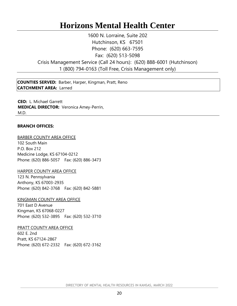## **Horizons Mental Health Center**

<span id="page-19-0"></span>1600 N. Lorraine, Suite 202 Hutchinson, KS 67501 Phone: (620) 663-7595 Fax: (620) 513-5098 Crisis Management Service (Call 24 hours): (620) 888-6001 (Hutchinson) 1 (800) 794-0163 (Toll Free, Crisis Management only)

**COUNTIES SERVED:** Barber, Harper, Kingman, Pratt, Reno **CATCHMENT AREA:** Larned

**CEO:** L. Michael Garrett **MEDICAL DIRECTOR:** Veronica Amey-Perrin, M.D.

#### **BRANCH OFFICES:**

#### BARBER COUNTY AREA OFFICE

102 South Main P.O. Box 212 Medicine Lodge, KS 67104-0212 Phone: (620) 886-5057 Fax: (620) 886-3473

#### HARPER COUNTY AREA OFFICE

123 N. Pennsylvania Anthony, KS 67003-2935 Phone: (620) 842-3768 Fax: (620) 842-5881

#### KINGMAN COUNTY AREA OFFICE

701 East D Avenue Kingman, KS 67068-0227 Phone: (620) 532-3895 Fax: (620) 532-3710

#### PRATT COUNTY AREA OFFICE

602 E. 2nd Pratt, KS 67124-2867 Phone: (620) 672-2332 Fax: (620) 672-3162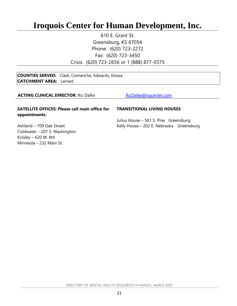## <span id="page-20-0"></span>**Iroquois Center for Human Development, Inc.**

610 E. Grant St. Greensburg, KS 67054 Phone: (620) 723-2272 Fax: (620) 723-3450 Crisis: (620) 723-2656 or 1 (888) 877-0375

**COUNTIES SERVED:** Clark, Comanche, Edwards, Kiowa **CATCHMENT AREA:** Larned

#### **ACTING CLINICAL DIRECTOR:** Ric Dalke **[RicDalke@irqcenter.com](mailto:RicDalke@irqcenter.com)**

#### **SATELLITE OFFICES: Please call main office for appointments.**

#### **TRANSITIONAL LIVING HOUSES**

Julius House – 501 S. Pine Greensburg Kelly House – 202 E. Nebraska Greensburg

Ashland – 709 Oak Street Coldwater – 207 S. Washington Kinsley – 620 W. 8th Minneola – 232 Main St.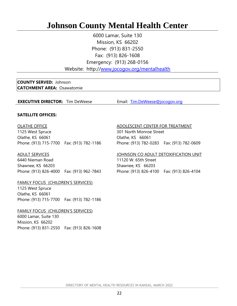## <span id="page-21-0"></span>**Johnson County Mental Health Center**

6000 Lamar, Suite 130 Mission, KS 66202 Phone: (913) 831-2550 Fax: (913) 826-1608 Emergency: (913) 268-0156

Website: http:/[/www.jocogov.org/mentalhealth](http://www.jocogov.org/mentalhealth)

#### **COUNTY SERVED:** Johnson **CATCHMENT AREA:** Osawatomie

#### **EXECUTIVE DIRECTOR:** Tim DeWeese **Email:** [Tim.DeWeese@jocogov.org](mailto:Tim.DeWeese@jocogov.org)

#### **SATELLITE OFFICES:**

#### OLATHE OFFICE

1125 West Spruce Olathe, KS 66061 Phone: (913) 715-7700 Fax: (913) 782-1186

#### ADULT SERVICES

6440 Nieman Road Shawnee, KS 66203 Phone: (913) 826-4000 Fax: (913) 962-7843

#### FAMILY FOCUS (CHILDREN'S SERVICES)

1125 West Spruce Olathe, KS 66061 Phone: (913) 715-7700 Fax: (913) 782-1186

#### FAMILY FOCUS (CHILDREN'S SERVICES) 6000 Lamar, Suite 130

Mission, KS 66202 Phone: (913) 831-2550 Fax: (913) 826-1608

#### ADOLESCENT CENTER FOR TREATMENT

301 North Monroe Street Olathe, KS 66061 Phone: (913) 782-0283 Fax: (913) 782-0609

#### JOHNSON CO ADULT DETOXIFICATION UNIT

11120 W. 65th Street Shawnee, KS 66203 Phone: (913) 826-4100 Fax: (913) 826-4104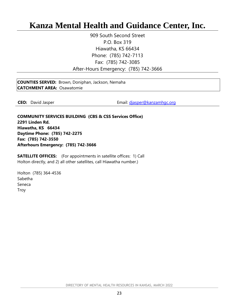## <span id="page-22-0"></span>**Kanza Mental Health and Guidance Center, Inc.**

909 South Second Street P.O. Box 319 Hiawatha, KS 66434 Phone: (785) 742-7113 Fax: (785) 742-3085 After-Hours Emergency: (785) 742-3666

**COUNTIES SERVED:** Brown, Doniphan, Jackson, Nemaha **CATCHMENT AREA:** Osawatomie

**CEO:** David Jasper **CEO:** David Jasper **EMAIL:** Email: [djasper@kanzamhgc.org](mailto:djasper@kanzamhgc.org)

**COMMUNITY SERVICES BUILDING (CBS & CSS Services Office) 2291 Linden Rd. Hiawatha, KS 66434 Daytime Phone: (785) 742-2275 Fax: (785) 742-3550 Afterhours Emergency: (785) 742-3666**

**SATELLITE OFFICES:** (For appointments in satellite offices: 1) Call Holton directly, and 2) all other satellites, call Hiawatha number.)

Holton (785) 364-4536 Sabetha Seneca Troy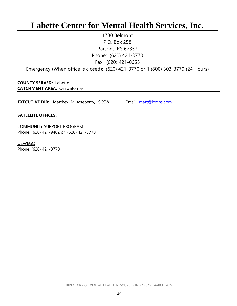## <span id="page-23-0"></span>**Labette Center for Mental Health Services, Inc.**

1730 Belmont P.O. Box 258 Parsons, KS 67357 Phone: (620) 421-3770 Fax: (620) 421-0665

Emergency (When office is closed): (620) 421-3770 or 1 (800) 303-3770 (24 Hours)

**COUNTY SERVED:** Labette **CATCHMENT AREA:** Osawatomie

**EXECUTIVE DIR:** Matthew M. Atteberry, LSCSW Email: [matt@lcmhs.com](mailto:matt@lcmhs.com)

#### **SATELLITE OFFICES:**

COMMUNITY SUPPORT PROGRAM Phone: (620) 421-9402 or (620) 421-3770

**OSWEGO** Phone: (620) 421-3770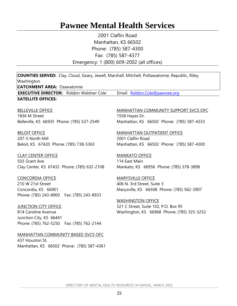## <span id="page-24-0"></span>**Pawnee Mental Health Services**

2001 Claflin Road Manhattan, KS 66502 Phone: (785) 587-4300 Fax: (785) 587-4377 Emergency: 1 (800) 609-2002 (all offices)

| <b>COUNTIES SERVED:</b> Clay, Cloud, Geary, Jewell, Marshall, Mitchell, Pottawatomie, Republic, Riley,<br>Washington<br><b>CATCHMENT AREA: Osawatomie</b>                                                                                          |                                                                                                                                                                                                                        |
|----------------------------------------------------------------------------------------------------------------------------------------------------------------------------------------------------------------------------------------------------|------------------------------------------------------------------------------------------------------------------------------------------------------------------------------------------------------------------------|
| <b>EXECUTIVE DIRECTOR:</b> Robbin Waldner Cole                                                                                                                                                                                                     | Email: Robbin.Cole@pawnee.org                                                                                                                                                                                          |
| <b>SATELLITE OFFICES:</b>                                                                                                                                                                                                                          |                                                                                                                                                                                                                        |
| <b>BELLEVILLE OFFICE</b><br>1836 M Street<br>Belleville, KS 66935 Phone: (785) 527-2549                                                                                                                                                            | <b>MANHATTAN COMMUNITY SUPPORT SVCS OFC</b><br>1558 Hayes Dr.<br>Manhattan, KS 66502 Phone: (785) 587-4333                                                                                                             |
| <b>BELOIT OFFICE</b><br>207-5 North Mill<br>Beloit, KS 67420 Phone: (785) 738-5363                                                                                                                                                                 | <b>MANHATTAN OUTPATIENT OFFICE</b><br>2001 Claflin Road<br>Manhattan, KS 66502 Phone: (785) 587-4300                                                                                                                   |
| <b>CLAY CENTER OFFICE</b><br>503 Grant Ave<br>Clay Center, KS 67432 Phone: (785) 632-2108                                                                                                                                                          | <b>MANKATO OFFICE</b><br>114 East Main<br>Mankato, KS 66956 Phone: (785) 378-3898                                                                                                                                      |
| <b>CONCORDIA OFFICE</b><br>210 W 21st Street<br>Concordia, KS 66901<br>Phone: (785) 243-8900<br>Fax: (785) 243-8933<br><b>JUNCTION CITY OFFICE</b><br>814 Caroline Avenue<br>Junction City, KS 66441<br>Phone: (785) 762-5250  Fax: (785) 762-2144 | <b>MARYSVILLE OFFICE</b><br>406 N. 3rd Street, Suite 3<br>Marysville, KS 66508 Phone: (785) 562-3907<br><b>WASHINGTON OFFICE</b><br>321 C Street, Suite 102, P.O. Box 95<br>Washington, KS 66968 Phone: (785) 325-3252 |
| MANHATTAN COMMUNITY BASED SVCS OFC<br>437 Houston St.<br>Manhattan, KS 66502 Phone: (785) 587-4361                                                                                                                                                 |                                                                                                                                                                                                                        |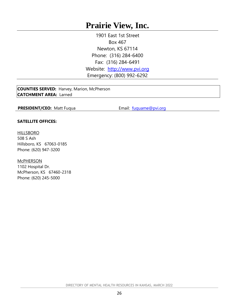## <span id="page-25-0"></span>**Prairie View, Inc.**

1901 East 1st Street Box 467 Newton, KS 67114 Phone: (316) 284-6400 Fax: (316) 284-6491 Website: [http://www.pvi.org](http://www.pvi.org/) Emergency: (800) 992-6292

**COUNTIES SERVED:** Harvey, Marion, McPherson **CATCHMENT AREA:** Larned

**PRESIDENT/CEO:** Matt Fuqua **Email:** Email: [fuquame@pvi.org](mailto:fuquame@pvi.org)

#### **SATELLITE OFFICES:**

#### **HILLSBORO**

508 S Ash Hillsboro, KS 67063-0185 Phone: (620) 947-3200

**McPHERSON** 

1102 Hospital Dr. McPherson, KS 67460-2318 Phone: (620) 245-5000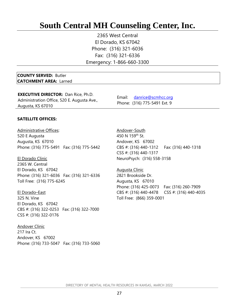## <span id="page-26-0"></span>**South Central MH Counseling Center, Inc.**

2365 West Central El Dorado, KS 67042 Phone: (316) 321-6036 Fax: (316) 321-6336 Emergency: 1-866-660-3300

#### **COUNTY SERVED:** Butler **CATCHMENT AREA:** Larned

**EXECUTIVE DIRECTOR:** Dan Rice, Ph.D. Administration Office, 520 E. Augusta Ave., Augusta, KS 67010

Email: [danrice@scmhcc.org](mailto:danrice@scmhcc.org) Phone: (316) 775-5491 Ext. 9

#### **SATELLITE OFFICES:**

Administrative Offices: 520 E Augusta Augusta, KS 67010 Phone: (316) 775-5491 Fax: (316) 775-5442

El Dorado Clinic 2365 W. Central El Dorado, KS 67042 Phone: (316) 321-6036 Fax: (316) 321-6336 Toll Free: (316) 775-6245

El Dorado–East 325 N. Vine El Dorado, KS 67042 CBS #: (316) 322-0253 Fax: (316) 322-7000 CSS #: (316) 322-0176

**Andover Clinic** 217 Ira Ct. Andover, KS 67002 Phone: (316) 733-5047 Fax: (316) 733-5060

Andover-South 450 N 159<sup>th</sup> St. Andover, KS 67002 CBS #: (316) 440-1312 Fax: (316) 440-1318 CSS #: (316) 440-1317 NeuroPsych: (316) 558-3158

Augusta Clinic 2821 Brookside Dr. Augusta, KS 67010 Phone: (316) 425-0073 Fax: (316) 260-7909 CBS #: (316) 440-4478 CSS #: (316) 440-4035 Toll Free: (866) 359-0001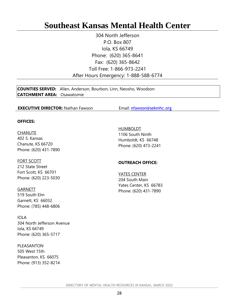## <span id="page-27-0"></span>**Southeast Kansas Mental Health Center**

304 North Jefferson P.O. Box 807 Iola, KS 66749 Phone: (620) 365-8641 Fax: (620) 365-8642 Toll Free: 1-866-973-2241 After Hours Emergency: 1-888-588-6774

**COUNTIES SERVED:** Allen, Anderson, Bourbon, Linn, Neosho, Woodson **CATCHMENT AREA:** Osawatomie

#### **EXECUTIVE DIRECTOR:** Nathan Fawson **Email:** [nfawson@sekmhc.org](mailto:nfawson@sekmhc.org)

#### **OFFICES:**

**CHANUTE** 402 S. Kansas Chanute, KS 66720 Phone: (620) 431-7890

FORT SCOTT 212 State Street Fort Scott, KS 66701 Phone: (620) 223-5030

**GARNETT** 519 South Elm Garnett, KS 66032 Phone: (785) 448-6806

IOLA 304 North Jefferson Avenue Iola, KS 66749 Phone: (620) 365-5717

PLEASANTON 505 West 15th Pleasanton, KS 66075 Phone: (913) 352-8214 HUMBOLDT 1106 South Ninth Humboldt, KS 66748 Phone: (620) 473-2241

#### **OUTREACH OFFICE:**

YATES CENTER 204 South Main Yates Center, KS 66783 Phone: (620) 431-7890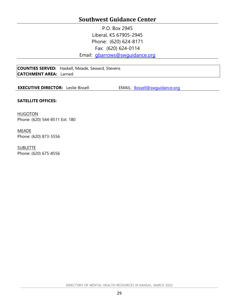### **Southwest Guidance Center**

P.O. Box 2945 Liberal, KS 67905-2945 Phone: (620) 624-8171 Fax: (620) 624-0114

Email: [gbarrows@swguidance.org](mailto:gbarrows@swguidance.org)

<span id="page-28-0"></span>**COUNTIES SERVED:** Haskell, Meade, Seward, Stevens **CATCHMENT AREA:** Larned

**EXECUTIVE DIRECTOR:** Leslie Bissell **EMAIL:** <u>Ibissell@swquidance.org</u>

#### **SATELLITE OFFICES:**

**HUGOTON** Phone: (620) 544-8511 Ext. 180

#### MEADE Phone: (620) 873-5556

**SUBLETTE** Phone: (620) 675-8556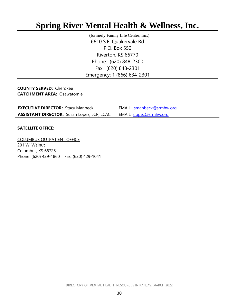## <span id="page-29-0"></span>**Spring River Mental Health & Wellness, Inc.**

(formerly Family Life Center, Inc.) 6610 S.E. Quakervale Rd P.O. Box 550 Riverton, KS 66770 Phone: (620) 848-2300 Fax: (620) 848-2301 Emergency: 1 (866) 634-2301

**COUNTY SERVED:** Cherokee **CATCHMENT AREA:** Osawatomie

| <b>EXECUTIVE DIRECTOR: Stacy Manbeck</b>          | EMAIL: smanbeck@srmhw.org      |
|---------------------------------------------------|--------------------------------|
| <b>ASSISTANT DIRECTOR:</b> Susan Lopez, LCP, LCAC | EMAIL: <u>slopez@srmhw.org</u> |

#### **SATELLITE OFFICE:**

COLUMBUS OUTPATIENT OFFICE 201 W. Walnut Columbus, KS 66725 Phone: (620) 429-1860 Fax: (620) 429-1041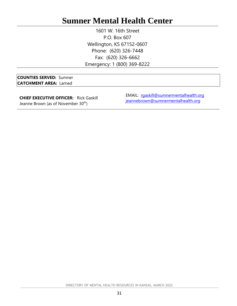## <span id="page-30-0"></span>**Sumner Mental Health Center**

1601 W. 16th Street P.O. Box 607 Wellington, KS 67152-0607 Phone: (620) 326-7448 Fax: (620) 326-6662 Emergency: 1 (800) 369-8222

**COUNTIES SERVED:** Sumner **CATCHMENT AREA:** Larned

**CHIEF EXECUTIVE OFFICER:** Rick Gaskill Jeanne Brown (as of November 30<sup>th</sup>)

EMAIL: [rgaskill@sumnermentalhealth.org](mailto:rgaskill@sumnermentalhealth.org) [jeannebrown@sumnermentalhealth.org](mailto:jeannebrown@sumnermentalhealth.org)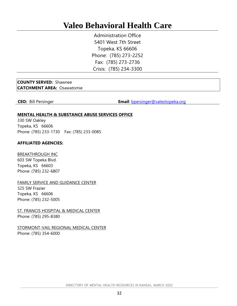## <span id="page-31-0"></span>**Valeo Behavioral Health Care**

Administration Office 5401 West 7th Street Topeka, KS 66606 Phone: (785) 273-2252 Fax: (785) 273-2736 Crisis: (785) 234-3300

#### **COUNTY SERVED:** Shawnee **CATCHMENT AREA:** Osawatomie

**CEO:** Bill Persinger **Email:** [bpersinger@valeotopeka.org](mailto:bpersinger@valeotopeka.org)

#### **MENTAL HEALTH & SUBSTANCE ABUSE SERVICES OFFICE**

330 SW Oakley Topeka, KS 66606 Phone: (785) 233-1730 Fax: (785) 233-0085

#### **AFFILIATED AGENCIES:**

BREAKTHROUGH INC 603 SW Topeka Blvd. Topeka, KS 66603 Phone: (785) 232-6807

FAMILY SERVICE AND GUIDANCE CENTER 325 SW Frazier Topeka, KS 66606 Phone: (785) 232-5005

**ST. FRANCIS HOSPITAL & MEDICAL CENTER** Phone: (785) 295-8380

STORMONT-VAIL REGIONAL MEDICAL CENTER Phone: (785) 354-6000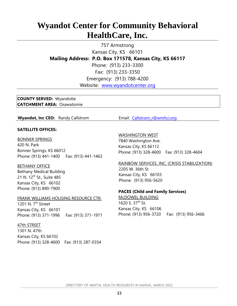## <span id="page-32-0"></span>**Wyandot Center for Community Behavioral HealthCare, Inc.**

757 Armstrong Kansas City, KS 66101 **Mailing Address: P.O. Box 171578, Kansas City, KS 66117** Phone: (913) 233-3300 Fax: (913) 233-3350 Emergency: (913) 788-4200 Website: [www.wyandotcenter.org](http://www.wyandotcenter.org/)

**COUNTY SERVED:** Wyandotte **CATCHMENT AREA:** Osawatomie

**Wyandot, Inc CEO:** Randy Callstrom Email: Callstrom r@wmhci.org

#### **SATELLITE OFFICES:**

BONNER SPRINGS 420 N. Park Bonner Springs, KS 66012 Phone: (913) 441-1400 Fax: (913) 441-1463

BETHANY OFFICE Bethany Medical Building 21 N. 12<sup>th</sup> St., Suite 485 Kansas City, KS 66102 Phone: (913) 890-7900

FRANK WILLIAMS HOUSING RESOURCE CTR. 1201 N. 7<sup>th</sup> Street Kansas City, KS 66101 Phone: (913) 371-1996 Fax: (913) 371-1971

47th STREET

1301 N. 47th Kansas City, KS 66102 Phone: (913) 328-4600 Fax: (913) 287-0354

#### WASHINGTON WEST

7840 Washington Ave. Kansas City, KS 66112 Phone: (913) 328-4600 Fax: (913) 328-4604

RAINBOW SERVICES, INC. (CRISIS STABILIZATION) 2205 W. 36th St Kansas City, KS 66103 Phone: (913) 956-5620

#### **PACES (Child and Family Services)**

McDOWEL BUILDING 1620 S.  $37<sup>th</sup>$  St. Kansas City, KS 66106 Phone: (913) 956-3720 Fax: (913) 956-3466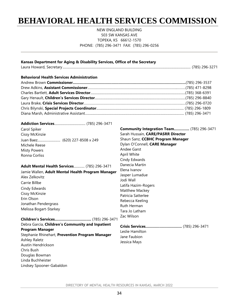## <span id="page-33-0"></span>**BEHAVIORAL HEALTH SERVICES COMMISSION**

NEW ENGLAND BUILDING 503 SW KANSAS AVE TOPEKA, KS 66612-1570 PHONE: (785) 296-3471 FAX: (785) 296-0256

| Kansas Department for Aging & Disability Services, Office of the Secretary                                                                                                                                                                                                                                                                                              |                                                                                                                                                                                                                                                                                                                                                                                                                      |
|-------------------------------------------------------------------------------------------------------------------------------------------------------------------------------------------------------------------------------------------------------------------------------------------------------------------------------------------------------------------------|----------------------------------------------------------------------------------------------------------------------------------------------------------------------------------------------------------------------------------------------------------------------------------------------------------------------------------------------------------------------------------------------------------------------|
| <b>Behavioral Health Services Administration</b>                                                                                                                                                                                                                                                                                                                        |                                                                                                                                                                                                                                                                                                                                                                                                                      |
| Carol Spiker<br>Cissy McKinzie<br>Michele Reese<br><b>Misty Powers</b><br>Ronna Corliss<br>Adult Mental Health Services (785) 296-3471<br>Jamie Wallen, Adult Mental Health Program Manager<br>Alex Zelkovitz<br>Carrie Billbe<br>Cindy Edwards<br>Cissy McKinzie<br>Erin Olson<br>Jonathan Pendergrass<br>Melissa Bogart-Starkey<br>Children's Services (785) 296-3471 | <b>Community Integration Team</b> (785) 296-3471<br>Sarah Hussain, CARE/PASRR Director<br>Shaun Sanz, CCBHC Program Manager<br>Dylan O'Connell, CARE Manager<br>Andee Garst<br>April White<br>Cindy Edwards<br>Danecia Martin<br>Elena Ivanov<br>Jasper Lumadue<br>Jodi Wall<br>Latifa Hazim-Rogers<br>Matthew Mackey<br>Patricia Satterlee<br>Rebecca Keeling<br><b>Ruth Herman</b><br>Tara Jo Latham<br>Zac Wilson |
| Debra Garcia, Children's Community and Inpatient<br>Program Manager<br>Stephanie Rhinehart, Prevention Program Manager<br><b>Ashley Raletz</b><br>Austin Hendrickson<br>Chris Bush<br>Douglas Bowman<br>Linda Buchheister<br>Lindsey Spooner-Gabaldon                                                                                                                   | Crisis Services (785) 296-3471<br>Leslie Hamilton<br>Jane Faubion<br>Jessica Mays                                                                                                                                                                                                                                                                                                                                    |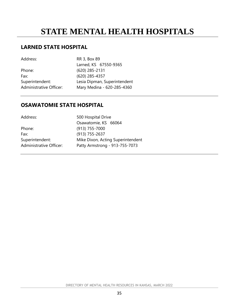## <span id="page-34-0"></span>**STATE MENTAL HEALTH HOSPITALS**

#### **LARNED STATE HOSPITAL**

Address: RR 3, Box 89 Larned, KS 67550-9365 Phone: (620) 285-2131 Fax: (620) 285-4357 Superintendent: Lesia Dipman, Superintendent Administrative Officer: Mary Medina - 620-285-4360

#### **OSAWATOMIE STATE HOSPITAL**

| Address:                | 500 Hospital Drive                |
|-------------------------|-----------------------------------|
|                         | Osawatomie, KS 66064              |
| Phone:                  | $(913)$ 755-7000                  |
| Fax:                    | $(913)$ 755-2637                  |
| Superintendent:         | Mike Dixon, Acting Superintendent |
| Administrative Officer: | Patty Armstrong - 913-755-7073    |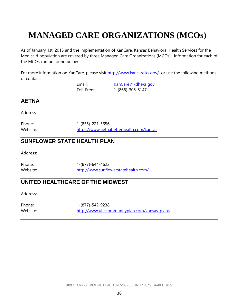## <span id="page-35-0"></span>**MANAGED CARE ORGANIZATIONS (MCOs)**

As of January 1st, 2013 and the implementation of KanCare, Kansas Behavioral Health Services for the Medicaid population are covered by three Managed Care Organizations (MCOs). Information for each of the MCOs can be found below.

For more information on KanCare, please visit<http://www.kancare.ks.gov/> or use the following methods of contact:

| Email:     | KanCare@kdheks.gov |
|------------|--------------------|
| Toll-Free: | 1-(866)-305-5147   |

#### **AETNA**

Address:

Phone: 1-(855)-221-5656 Website: <https://www.aetnabetterhealth.com/kansas>

### **SUNFLOWER STATE HEALTH PLAN**

Address:

Phone: 1-(877)-644-4623 Website: <http://www.sunflowerstatehealth.com/>

### **UNITED HEALTHCARE OF THE MIDWEST**

Address:

Phone: 1-(877)-542-9238 Website: <http://www.uhccommunityplan.com/kansas-plans>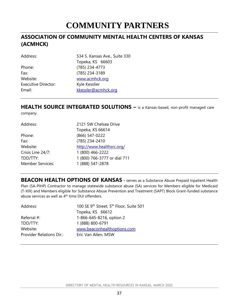## **COMMUNITY PARTNERS**

### <span id="page-36-0"></span>**ASSOCIATION OF COMMUNITY MENTAL HEALTH CENTERS OF KANSAS (ACMHCK)**

| Address:                   | 534 S. Kansas Ave., Suite 330 |
|----------------------------|-------------------------------|
|                            | Topeka, KS 66603              |
| Phone:                     | (785) 234-4773                |
| Fax:                       | (785) 234-3189                |
| Website:                   | www.acmhck.org                |
| <b>Executive Director:</b> | Kyle Kesslier                 |
| Email:                     | kkessler@acmhck.org           |
|                            |                               |

## **HEALTH SOURCE INTEGRATED SOLUTIONS –** is a Kansas-based, non-profit managed care

company.

| Address:                | 2121 SW Chelsea Drive        |
|-------------------------|------------------------------|
|                         | Topeka, KS 66614             |
| Phone:                  | (866) 547-0222               |
| Fax:                    | (785) 234-2410               |
| Website:                | http://www.healthsrc.org/    |
| Crisis Line 24/7:       | 1 (800) 466-2222             |
| TDD/TTY:                | 1 (800) 766-3777 or dial 711 |
| <b>Member Services:</b> | 1 (888) 547-2878             |
|                         |                              |

**BEACON HEALTH OPTIONS OF KANSAS -** serves as a Substance Abuse Prepaid Inpatient Health Plan (SA-PIHP) Contractor to manage statewide substance abuse (SA) services for Members eligible for Medicaid (T-XIX) and Members eligible for Substance Abuse Prevention and Treatment (SAPT) Block Grant-funded substance abuse services as well as 4<sup>th</sup> time DUI offenders.

| Address:                        | 100 SE 9 <sup>th</sup> Street, 5 <sup>th</sup> Floor, Suite 501 |
|---------------------------------|-----------------------------------------------------------------|
|                                 | Topeka, KS 66612                                                |
| Referral $#$ :                  | 1-866-645-8216, option 2                                        |
| TDD/TTY:                        | 1 (888) 800-6791                                                |
| Website:                        | www.beaconhealthoptions.com                                     |
| <b>Provider Relations Dir.:</b> | Eric Van Allen, MSW                                             |
|                                 |                                                                 |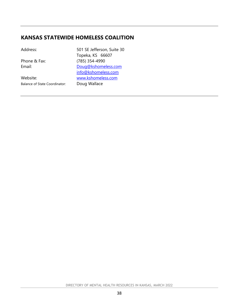### **KANSAS STATEWIDE HOMELESS COALITION**

| Address:                      | 501 SE Jefferson, Suite 30<br>Topeka, KS 66607 |
|-------------------------------|------------------------------------------------|
| Phone & Fax:                  | (785) 354-4990                                 |
| Email:                        | Doug@kshomeless.com                            |
|                               | info@kshomeless.com                            |
| Website:                      | www.kshomeless.com                             |
| Balance of State Coordinator: | Doug Wallace                                   |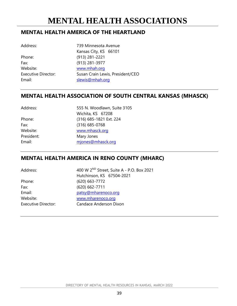### <span id="page-38-0"></span>**MENTAL HEALTH AMERICA OF THE HEARTLAND**

| AUUL COO.              |  |
|------------------------|--|
| Phone:                 |  |
| Fax:                   |  |
| Website:               |  |
| <b>Executive Direc</b> |  |
| Email:                 |  |

Address: 739 Minnesota Avenue Kansas City, KS 66101 Phone: (913) 281-2221 Fax: (913) 281-3977 [www.mhah.org](http://www.mhah.org/) tor: Susan Crain Lewis, President/CEO [slewis@mhah.org](mailto:slewis@mhah.org)

### **MENTAL HEALTH ASSOCIATION OF SOUTH CENTRAL KANSAS (MHASCK)**

| Address:   | 555 N. Woodlawn, Suite 3105 |
|------------|-----------------------------|
|            | Wichita, KS 67208           |
| Phone:     | (316) 685-1821 Ext. 224     |
| Fax:       | $(316)$ 685-0768            |
| Website:   | www.mhasck.org              |
| President: | Mary Jones                  |
| Email:     | mjones@mhasck.org           |

### **MENTAL HEALTH AMERICA IN RENO COUNTY (MHARC)**

| Address:                   | 400 W 2 <sup>ND</sup> Street, Suite A - P.O. Box 2021 |
|----------------------------|-------------------------------------------------------|
|                            | Hutchinson, KS 67504-2021                             |
| Phone:                     | (620) 663-7772                                        |
| Fax:                       | (620) 662-7711                                        |
| Email:                     | patsy@mharenoco.org                                   |
| Website:                   | www.mharenoco.org                                     |
| <b>Executive Director:</b> | Candace Anderson Dixon                                |
|                            |                                                       |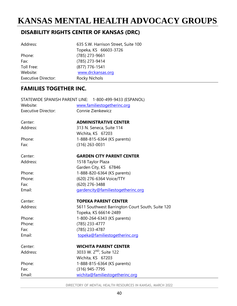## <span id="page-39-0"></span>**KANSAS MENTAL HEALTH ADVOCACY GROUPS**

### **DISABILITY RIGHTS CENTER OF KANSAS (DRC)**

| Address:                   | 635 S.W. Harrison Street, Suite 100 |  |
|----------------------------|-------------------------------------|--|
|                            | Topeka, KS 66603-3726               |  |
| Phone:                     | (785) 273-9661                      |  |
| Fax:                       | (785) 273-9414                      |  |
| Toll Free:                 | (877) 776-1541                      |  |
| Website:                   | www.drckansas.org                   |  |
| <b>Executive Director:</b> | <b>Rocky Nichols</b>                |  |

### **FAMILIES TOGETHER INC.**

|                            | STATEWIDE SPANISH PARENT LINE: 1-800-499-9433 (ESPANOL) |
|----------------------------|---------------------------------------------------------|
| Website:                   | www.familiestogetherinc.org                             |
| <b>Executive Director:</b> | Connie Zienkewicz                                       |
| Center:                    | <b>ADMINISTRATIVE CENTER</b>                            |
| Address:                   | 313 N. Seneca, Suite 114                                |
|                            | Wichita, KS 67203                                       |
| Phone:                     | 1-888-815-6364 (KS parents)                             |
| Fax:                       | $(316)$ 263-0031                                        |
| Center:                    | <b>GARDEN CITY PARENT CENTER</b>                        |
| Address:                   | 1518 Taylor Plaza                                       |
|                            | Garden City, KS 67846                                   |
| Phone:                     | 1-888-820-6364 (KS parents)                             |
| Phone:                     | (620) 276-6364 Voice/TTY                                |
| Fax:                       | (620) 276-3488                                          |
| Email:                     | gardencity@familiestogetherinc.org                      |
| Center:                    | <b>TOPEKA PARENT CENTER</b>                             |
| Address:                   | 5611 Southwest Barrington Court South, Suite 120        |
|                            | Topeka, KS 66614-2489                                   |
| Phone:                     | 1-800-264-6343 (KS parents)                             |
| Phone:                     | (785) 233-4777                                          |
| Fax:                       | (785) 233-4787                                          |
| Email:                     | topeka@familiestogetherinc.org                          |
| Center:                    | <b>WICHITA PARENT CENTER</b>                            |
| Address:                   | 3033 W. 2 <sup>ND</sup> , Suite 122                     |
|                            | Wichita, KS 67203                                       |
| Phone:                     | 1-888-815-6364 (KS parents)                             |
| Fax:                       | (316) 945-7795                                          |
| Email:                     | wichita@familiestogetherinc.org                         |
|                            |                                                         |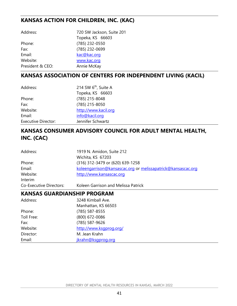### **KANSAS ACTION FOR CHILDREN, INC. (KAC)**

| Address:         | 720 SW Jackson, Suite 201 |
|------------------|---------------------------|
|                  | Topeka, KS 66603          |
| Phone:           | (785) 232-0550            |
| Fax:             | (785) 232-0699            |
| Email:           | kac@kac.org               |
| Website:         | www.kac.org               |
| President & CEO: | Annie McKay               |

### **KANSAS ASSOCIATION OF CENTERS FOR INDEPENDENT LIVING (KACIL)**

| Address:                   | 214 SW 6 <sup>th</sup> , Suite A |
|----------------------------|----------------------------------|
|                            | Topeka, KS 66603                 |
| Phone:                     | (785) 215-8048                   |
| Fax:                       | (785) 215-8050                   |
| Website:                   | http://www.kacil.org             |
| Email:                     | info@kacil.org                   |
| <b>Executive Director:</b> | Jennifer Schwartz                |

## **KANSAS CONSUMER ADVISORY COUNCIL FOR ADULT MENTAL HEALTH, INC. (CAC)**

| 1919 N. Amidon, Suite 212                                    |
|--------------------------------------------------------------|
| Wichita, KS 67203                                            |
| (316) 312-3479 or (620) 639-1258                             |
| koleengarrison@kansascac.org or melissapatrick@kansascac.org |
| http://www.kansascac.org                                     |
|                                                              |
| Koleen Garrison and Melissa Patrick                          |
|                                                              |

#### **KANSAS GUARDIANSHIP PROGRAM**

| Address:   | 3248 Kimball Ave.       |
|------------|-------------------------|
|            | Manhattan, KS 66503     |
| Phone:     | (785) 587-8555          |
| Toll Free: | (800) 672-0086          |
| Fax:       | (785) 587-9626          |
| Website:   | http://www.ksgprog.org/ |
| Director:  | M. Jean Krahn           |
| Email:     | jkrahn@ksgprog.org      |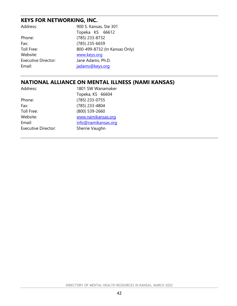### **KEYS FOR NETWORKING, INC.**

| Address:                   | 900 S. Kansas, Ste 301        |
|----------------------------|-------------------------------|
|                            | Topeka KS 66612               |
| Phone:                     | (785) 233-8732                |
| Fax:                       | (785) 235-6659                |
| Toll Free:                 | 800-499-8732 (In Kansas Only) |
| Website:                   | www.keys.org                  |
| <b>Executive Director:</b> | Jane Adams, Ph.D.             |
| Email:                     | jadams@keys.org               |
|                            |                               |

### **NATIONAL ALLIANCE ON MENTAL ILLNESS (NAMI KANSAS)**

| Address:                   | 1801 SW Wanamaker   |
|----------------------------|---------------------|
|                            | Topeka, KS 66604    |
| Phone:                     | (785) 233-0755      |
| Fax:                       | (785) 233-4804      |
| Toll Free:                 | (800) 539-2660      |
| Website:                   | www.namikansas.org  |
| Email:                     | info@namikansas.org |
| <b>Executive Director:</b> | Sherrie Vaughn      |
|                            |                     |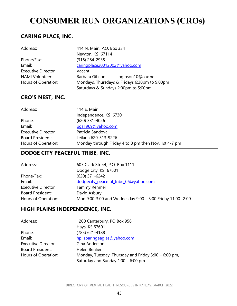## <span id="page-42-0"></span>**CONSUMER RUN ORGANIZATIONS (CROs)**

### **CARING PLACE, INC.**

| Address:                   | 414 N. Main, P.O. Box 334     |                                               |
|----------------------------|-------------------------------|-----------------------------------------------|
|                            | Newton, KS 67114              |                                               |
| Phone/Fax:                 | (316) 284-2935                |                                               |
| Email:                     | caringplace20012002@yahoo.com |                                               |
| <b>Executive Director:</b> | Vacant                        |                                               |
| <b>NAMI Volunteer:</b>     | Barbara Gibson                | bgibson10@cox.net                             |
| Hours of Operation:        |                               | Mondays, Thursdays & Fridays 6:30pm to 9:00pm |
|                            |                               | Saturdays & Sundays 2:00pm to 5:00pm          |

## **CRO'S NEST, INC.**

| 114 E. Main                                          |
|------------------------------------------------------|
| Independence, KS 67301                               |
| (620) 331-4026                                       |
| pgs1969@yahoo.com                                    |
| Patricia Sandoval                                    |
| Leilana 620-313-9226                                 |
| Monday through Friday 4 to 8 pm then Nov. 1st 4-7 pm |
|                                                      |

### **DODGE CITY PEACEFUL TRIBE, INC.**

| Address:                   | 607 Clark Street, P.O. Box 1111                           |
|----------------------------|-----------------------------------------------------------|
|                            | Dodge City, KS 67801                                      |
| Phone/Fax:                 | (620) 371-6242                                            |
| Email:                     | dodgecity_peaceful_tribe_06@yahoo.com                     |
| <b>Executive Director:</b> | Tammy Rehmer                                              |
| Board President:           | David Asbury                                              |
| Hours of Operation:        | Mon 9:00-3:00 and Wednesday 9:00 - 3:00 Friday 11:00-2:00 |

### **HIGH PLAINS INDEPENDENCE, INC.**

| Address:                   | 1200 Canterbury, PO Box 956                            |
|----------------------------|--------------------------------------------------------|
|                            | Hays, KS 67601                                         |
| Phone:                     | (785) 621-4188                                         |
| Email:                     | hpiisoaringeagles@yahoo.com                            |
| <b>Executive Director:</b> | Gina Anderson                                          |
| <b>Board President:</b>    | Helen Benlien                                          |
| Hours of Operation:        | Monday, Tuesday, Thursday and Friday $3:00 - 6:00$ pm, |
|                            | Saturday and Sunday $1:00 - 6:00$ pm                   |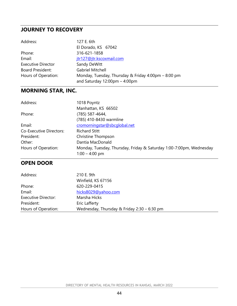#### **JOURNEY TO RECOVERY**

| Address:                  | 127 E. 6th                                                                                             |
|---------------------------|--------------------------------------------------------------------------------------------------------|
|                           | El Dorado, KS 67042                                                                                    |
| Phone:                    | 316-621-1858                                                                                           |
| Email:                    | jtr127@jtr.kscoxmail.com                                                                               |
| <b>Executive Director</b> | Sandy DeWitt                                                                                           |
| <b>Board President:</b>   | <b>Gabriel Mitchell</b>                                                                                |
| Hours of Operation:       | Monday, Tuesday, Thursday & Friday 4:00pm - 8:00 pm<br>and Saturday $12:00 \text{pm} - 4:00 \text{pm}$ |

### **MORNING STAR, INC.**

| Address:                       | 1018 Poyntz                                                         |
|--------------------------------|---------------------------------------------------------------------|
|                                | Manhattan, KS 66502                                                 |
| Phone:                         | (785) 587-4644,                                                     |
|                                | (785) 410-8430 warmline                                             |
| Email:                         | cromorningstar@sbcqlobal.net                                        |
| <b>Co-Executive Directors:</b> | <b>Richard Stitt</b>                                                |
| President:                     | Christine Thompson                                                  |
| Other:                         | Dantia MacDonald                                                    |
| Hours of Operation:            | Monday, Tuesday, Thursday, Friday & Saturday 1:00-7:00pm, Wednesday |
|                                | $1:00 - 4:00$ pm                                                    |

### **OPEN DOOR**

| Address:                   | 210 E. 9th                                  |
|----------------------------|---------------------------------------------|
|                            | Winfield, KS 67156                          |
| Phone:                     | 620-229-0415                                |
| Email:                     | hicks8029@yahoo.com                         |
| <b>Executive Director:</b> | Marsha Hicks                                |
| President:                 | Eric Lafferty                               |
| Hours of Operation:        | Wednesday, Thursday & Friday 2:30 - 6:30 pm |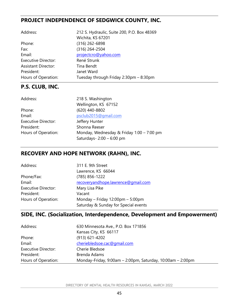### **PROJECT INDEPENDENCE OF SEDGWICK COUNTY, INC.**

| Address:                   | 212 S. Hydraulic, Suite 200, P.O. Box 48369 |
|----------------------------|---------------------------------------------|
|                            | Wichita, KS 67201                           |
| Phone:                     | $(316)$ 262-6898                            |
| Fax:                       | (316) 264-2504                              |
| Email:                     | projectcro@yahoo.com                        |
| <b>Executive Director:</b> | René Strunk                                 |
| <b>Assistant Director:</b> | Tina Bendt                                  |
| President:                 | Janet Ward                                  |
| Hours of Operation:        | Tuesday through Friday 2:30pm - 8:30pm      |

### **P.S. CLUB, INC.**

| 218 S. Washington                         |
|-------------------------------------------|
| Wellington, KS 67152                      |
| (620) 440-8802                            |
| psclub2015@gmail.com                      |
| Jeffery Hunter                            |
| Shonna Reeser                             |
| Monday, Wednesday & Friday 1:00 - 7:00 pm |
| Saturdays-2:00 - 6:00 pm                  |
|                                           |

### **RECOVERY AND HOPE NETWORK (RAHN), INC.**

| Address:                   | 311 E. 9th Street                          |
|----------------------------|--------------------------------------------|
|                            | Lawrence, KS 66044                         |
| Phone/Fax:                 | (785) 856-1222                             |
| Email:                     | recoveryandhope.lawrence@gmail.com         |
| <b>Executive Director:</b> | Mary Lisa Pike                             |
| President:                 | Vacant                                     |
| Hours of Operation:        | Monday – Friday $12:00 \text{pm}$ – 5:00pm |
|                            | Saturday & Sunday for Special events       |

### **SIDE, INC. (Socialization, Interdependence, Development and Empowerment)**

| Address:                   | 630 Minnesota Ave., P.O. Box 171856                        |
|----------------------------|------------------------------------------------------------|
|                            | Kansas City, KS 66117                                      |
| Phone:                     | $(913)$ 621-4202                                           |
| Email:                     | cheriebledsoe.cac@qmail.com                                |
| <b>Executive Director:</b> | Cherie Bledsoe                                             |
| President:                 | Brenda Adams                                               |
| Hours of Operation:        | Monday-Friday, 9:00am - 2:00pm, Saturday, 10:00am - 2:00pm |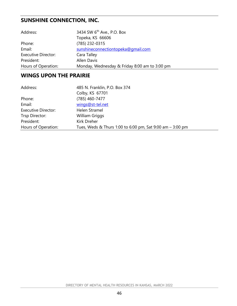## **SUNSHINE CONNECTION, INC.**

| Address:                   | 3434 SW 6 <sup>th</sup> Ave., P.O. Box        |
|----------------------------|-----------------------------------------------|
|                            | Topeka, KS 66606                              |
| Phone:                     | (785) 232-0315                                |
| Email:                     | sunshineconnectiontopeka@qmail.com            |
| <b>Executive Director:</b> | Cara Talley                                   |
| President:                 | <b>Allen Davis</b>                            |
| Hours of Operation:        | Monday, Wednesday & Friday 8:00 am to 3:00 pm |

#### **WINGS UPON THE PRAIRIE**

| Address:                   | 485 N. Franklin, P.O. Box 374                             |
|----------------------------|-----------------------------------------------------------|
|                            | Colby, KS 67701                                           |
| Phone:                     | (785) 460-7477                                            |
| Email:                     | wings@st-tel.net                                          |
| <b>Executive Director:</b> | Helen Stramel                                             |
| Trsp Director:             | William Griggs                                            |
| President:                 | Kirk Dreher                                               |
| Hours of Operation:        | Tues, Weds & Thurs 1:00 to 6:00 pm, Sat 9:00 am - 3:00 pm |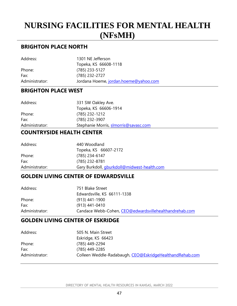## <span id="page-46-0"></span>**NURSING FACILITIES FOR MENTAL HEALTH (NFsMH)**

#### **BRIGHTON PLACE NORTH**

| Address:       | 1301 NE Jefferson                     |
|----------------|---------------------------------------|
|                | Topeka, KS 66608-1118                 |
| Phone:         | (785) 233-5127                        |
| Fax:           | (785) 232-2727                        |
| Administrator: | Jordana Hoeme, jordan.hoeme@yahoo.com |

#### **BRIGHTON PLACE WEST**

| Address:       | 331 SW Oakley Ave.                    |
|----------------|---------------------------------------|
|                | Topeka, KS 66606-1914                 |
| Phone:         | (785) 232-1212                        |
| Fax:           | (785) 232-3907                        |
| Administrator: | Stephanie Morris, slmorris@savasc.com |
|                |                                       |

#### **COUNTRYSIDE HEALTH CENTER**

| Address:       | 440 Woodland                                       |
|----------------|----------------------------------------------------|
|                | Topeka, KS 66607-2172                              |
| Phone:         | (785) 234-6147                                     |
| Fax:           | (785) 232-8781                                     |
| Administrator: | Gary Burkdoll, <i>gburkdoll@midwest-health.com</i> |

#### **GOLDEN LIVING CENTER OF EDWARDSVILLE**

| 751 Blake Street                                       |
|--------------------------------------------------------|
| Edwardsville, KS 66111-1338                            |
| $(913)$ 441-1900                                       |
| (913) 441-0410                                         |
| Candace Webb-Cohen, CEO@edwardsvillehealthandrehab.com |
|                                                        |

#### **GOLDEN LIVING CENTER OF ESKRIDGE**

| Address:       | 505 N. Main Street<br>Eskridge, KS 66423                 |
|----------------|----------------------------------------------------------|
| Phone:         | (785) 449-2294                                           |
| Fax:           | (785) 449-2285                                           |
| Administrator: | Colleen Weddle-Radabaugh, CEO@EskridgeHealthandRehab.com |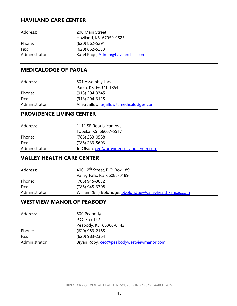### **HAVILAND CARE CENTER**

| Address:       | 200 Main Street                   |
|----------------|-----------------------------------|
|                | Haviland, KS 67059-9525           |
| Phone:         | $(620)$ 862-5291                  |
| Fax:           | $(620)$ 862-5233                  |
| Administrator: | Karel Page, Admin@haviland-cc.com |

### **MEDICALODGE OF PAOLA**

| Address:       | 501 Assembly Lane                       |
|----------------|-----------------------------------------|
|                | Paola, KS 66071-1854                    |
| Phone:         | (913) 294-3345                          |
| Fax:           | $(913)$ 294-3115                        |
| Administrator: | Alieu Jallow, asjallow@medicalodges.com |

### **PROVIDENCE LIVING CENTER**

| Address:       | 1112 SE Republican Ave.                  |
|----------------|------------------------------------------|
|                | Topeka, KS 66607-5517                    |
| Phone:         | (785) 233-0588                           |
| Fax:           | $(785)$ 233-5603                         |
| Administrator: | Jo Olson, ceo@providencelivingcenter.com |

#### **VALLEY HEALTH CARE CENTER**

| Address:       | 400 12 <sup>th</sup> Street, P.O. Box 189                   |
|----------------|-------------------------------------------------------------|
|                | Valley Falls, KS 66088-0189                                 |
| Phone:         | (785) 945-3832                                              |
| Fax:           | (785) 945-3708                                              |
| Administrator: | William (Bill) Boldridge, bboldridge@valleyhealthkansas.com |

#### **WESTVIEW MANOR OF PEABODY**

| Address:       | 500 Peabody                              |
|----------------|------------------------------------------|
|                | P.O. Box 142                             |
|                | Peabody, KS 66866-0142                   |
| Phone:         | $(620)$ 983-2165                         |
| Fax:           | (620) 983-2364                           |
| Administrator: | Bryan Roby, ceo@peabodywestviewmanor.com |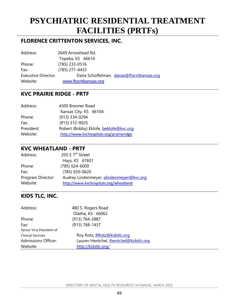## <span id="page-48-0"></span>**PSYCHIATRIC RESIDENTIAL TREATMENT FACILITIES (PRTFs)**

### **FLORENCE CRITTENTON SERVICES, INC.**

| Address:                   | 2649 Arrowhead Rd.    |                                           |
|----------------------------|-----------------------|-------------------------------------------|
|                            | Topeka, KS 66614      |                                           |
| Phone:                     | $(785)$ 233-0516      |                                           |
| Fax:                       | (785) 271-4433        |                                           |
| <b>Executive Director:</b> |                       | Dana Schoffelman, danas@flocritkansas.org |
| Website:                   | www.flocritkansas.org |                                           |

#### **KVC PRAIRIE RIDGE - PRTF**

| Address:   | 4300 Brenner Road                        |  |
|------------|------------------------------------------|--|
|            | Kansas City, KS 66104                    |  |
| Phone:     | (913) 334-0294                           |  |
| Fax:       | (913) 312-9025                           |  |
| President: | Robert (Bobby) Eklofe, beklofe@kvc.org   |  |
| Website:   | http://www.kvchospitals.org/prairieridge |  |

#### **KVC WHEATLAND - PRTF**

| Address:                      | 205 E 7 <sup>th</sup> Street                                                      |
|-------------------------------|-----------------------------------------------------------------------------------|
|                               | Hays, KS 67601                                                                    |
| Phone:                        | $(785)$ 624-6000                                                                  |
| Fax:                          | (785) 650-0620                                                                    |
| Program Director:<br>Website: | Audrey Lindenmeyer, alindenmeyer@kvc.org<br>http://www.kvchospitals.org/wheatland |

### **KIDS TLC, INC.**

| Address:                   | 480 S. Rogers Road                     |  |
|----------------------------|----------------------------------------|--|
|                            | Olathe, KS 66062                       |  |
| Phone:                     | (913) 764-2887                         |  |
| Fax:                       | (913) 768-1437                         |  |
| Senior Vice President of   |                                        |  |
| <b>Clinical Services:</b>  | Roy Rotz, RRotz@kidstlc.org            |  |
| <b>Admissions Officer:</b> | Lauren Hentchel, Ihentchel@kidstlc.org |  |
| Website:                   | http://kidstlc.org/                    |  |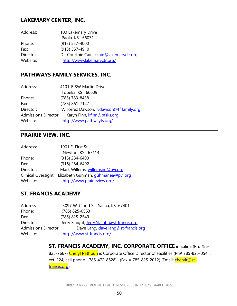#### **LAKEMARY CENTER, INC.**

| Address: | 100 Lakemary Drive                       |
|----------|------------------------------------------|
|          | Paola, KS 66071                          |
| Phone:   | $(913) 557 - 4000$                       |
| Fax:     | (913) 557-4910                           |
| Director | Dr. Courtnie Cain, ccain@lakemaryctr.org |
| Website: | http://www.lakemaryctr.org/              |

#### **PATHWAYS FAMILY SERVICES, INC.**

| 4101-B SW Martin Drive                                     |  |
|------------------------------------------------------------|--|
| Topeka, KS 66609                                           |  |
| (785) 783-8438                                             |  |
| (785) 861-7147                                             |  |
| V. Torrez Dawson, vdawson@tfifamily.org                    |  |
| <b>Admissions Director:</b><br>Karyn Finn, kfinn@pfsks.org |  |
| http://www.pathwayfs.org/                                  |  |
|                                                            |  |

#### **PRAIRIE VIEW, INC.**

| Address:  | 1901 E. First St.                                      |
|-----------|--------------------------------------------------------|
|           | Newton, KS 67114                                       |
| Phone:    | $(316)$ 284-6400                                       |
| Fax:      | (316) 284-6492                                         |
| Director: | Mark Willems, willemsjm@pvi.org                        |
|           | Clinical Oversight: Elizabeth Guhman, guhmanea@pvi.org |
| Website:  | http://www.prairieview.org/                            |

#### **ST. FRANCIS ACADEMY**

| Address:                    | 5097 W. Cloud St., Salina, KS 67401         |
|-----------------------------|---------------------------------------------|
| Phone:                      | $(785)$ 825-0563                            |
| Fax:                        | (785) 825-2549                              |
| Director:                   | Jerry Slaight, Jerry.Slaight@st-francis.org |
| <b>Admissions Director:</b> | Dave Lang, dave.lang@st-francis.org         |
| Website:                    | http://www.st-francis.org/                  |

#### **ST. FRANCIS ACADEMY, INC. CORPORATE OFFICE** in Salina (Ph: 785-

825-7667) Cheryl Rathbun is Corporate Office Director of Facilities (Ph# 785-825-0541, ext. 224; cell phone - 785-472-8628). (Fax = 785-825-2012) (Email: *cherylr@st*[francis.org\)](mailto:cherylr@st-francis.org)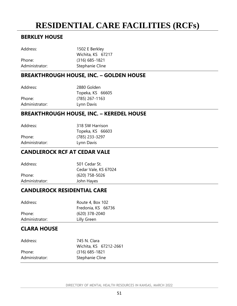## <span id="page-50-0"></span>**RESIDENTIAL CARE FACILITIES (RCFs)**

### **BERKLEY HOUSE**

| Address:       | 1502 E Berkley    |  |
|----------------|-------------------|--|
|                | Wichita, KS 67217 |  |
| Phone:         | $(316)$ 685-1821  |  |
| Administrator: | Stephanie Cline   |  |
|                |                   |  |

### **BREAKTHROUGH HOUSE, INC. – GOLDEN HOUSE**

| 2880 Golden |                                      |
|-------------|--------------------------------------|
|             |                                      |
|             |                                      |
| Lynn Davis  |                                      |
|             | Topeka, KS 66605<br>$(785)$ 267-1163 |

#### **BREAKTHROUGH HOUSE, INC. – KEREDEL HOUSE**

| Address:       | 318 SW Harrison  |  |
|----------------|------------------|--|
|                | Topeka, KS 66603 |  |
| Phone:         | (785) 233-3297   |  |
| Administrator: | Lynn Davis       |  |

#### **CANDLEROCK RCF AT CEDAR VALE**

| Address:       | 501 Cedar St.        |
|----------------|----------------------|
|                | Cedar Vale, KS 67024 |
| Phone:         | $(620)$ 758-5026     |
| Administrator: | John Hayes           |
|                |                      |

#### **CANDLEROCK RESIDENTIAL CARE**

| Address:       | Route 4, Box 102   |
|----------------|--------------------|
|                | Fredonia, KS 66736 |
| Phone:         | (620) 378-2040     |
| Administrator: | Lilly Green        |
|                |                    |

### **CLARA HOUSE**

| Address:       | 745 N. Clara           |  |
|----------------|------------------------|--|
|                | Wichita, KS 67212-2661 |  |
| Phone:         | $(316)$ 685-1821       |  |
| Administrator: | Stephanie Cline        |  |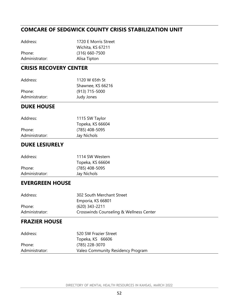### **COMCARE OF SEDGWICK COUNTY CRISIS STABILIZATION UNIT**

| 1720 E Morris Street |
|----------------------|
| Wichita, KS 67211    |
| $(316) 660 - 7500$   |
| Alisa Tipton         |
|                      |

#### **CRISIS RECOVERY CENTER**

| Address:       | 1120 W 65th St    |  |
|----------------|-------------------|--|
|                | Shawnee, KS 66216 |  |
| Phone:         | $(913)$ 715-5000  |  |
| Administrator: | Judy Jones        |  |

#### **DUKE HOUSE**

| Address:       | 1115 SW Taylor   |  |
|----------------|------------------|--|
|                | Topeka, KS 66604 |  |
| Phone:         | (785) 408-5095   |  |
| Administrator: | Jay Nichols      |  |
|                |                  |  |

#### **DUKE LESIURELY**

| Address:       | 1114 SW Western  |  |
|----------------|------------------|--|
|                | Topeka, KS 66604 |  |
| Phone:         | (785) 408-5095   |  |
| Administrator: | Jay Nichols      |  |
|                |                  |  |

#### **EVERGREEN HOUSE**

| Address:       | 302 South Merchant Street               |
|----------------|-----------------------------------------|
|                | Emporia, KS 66801                       |
| Phone:         | $(620)$ 343-2211                        |
| Administrator: | Crosswinds Counseling & Wellness Center |

### **FRAZIER HOUSE**

| Address:       | 520 SW Frazier Street             |
|----------------|-----------------------------------|
|                | Topeka, KS 66606                  |
| Phone:         | (785) 228-3070                    |
| Administrator: | Valeo Community Residency Program |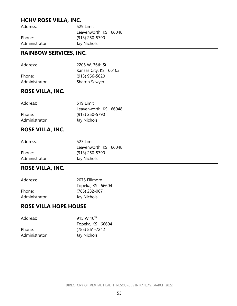### **HCHV ROSE VILLA, INC.**

| Address:       | 529 Limit             |  |
|----------------|-----------------------|--|
|                | Leavenworth, KS 66048 |  |
| Phone:         | (913) 250-5790        |  |
| Administrator: | Jay Nichols           |  |

#### **RAINBOW SERVICES, INC.**

| Address:       | 2205 W. 36th St<br>Kansas City, KS 66103 |
|----------------|------------------------------------------|
| Phone:         | $(913)$ 956-5620                         |
| Administrator: | Sharon Sawyer                            |
|                |                                          |

#### **ROSE VILLA, INC.**

| Address:       | 519 Limit             |  |
|----------------|-----------------------|--|
|                | Leavenworth, KS 66048 |  |
| Phone:         | (913) 250-5790        |  |
| Administrator: | Jay Nichols           |  |
|                |                       |  |

### **ROSE VILLA, INC.**

| Address:       | 523 Limit             |  |
|----------------|-----------------------|--|
|                | Leavenworth, KS 66048 |  |
| Phone:         | $(913)$ 250-5790      |  |
| Administrator: | Jay Nichols           |  |

## **ROSE VILLA, INC.**

| Address:       | 2075 Fillmore    |  |
|----------------|------------------|--|
|                | Topeka, KS 66604 |  |
| Phone:         | (785) 232-0671   |  |
| Administrator: | Jay Nichols      |  |
|                |                  |  |

#### **ROSE VILLA HOPE HOUSE**

| Address:       | 915 W 10 <sup>th</sup> |
|----------------|------------------------|
|                | Topeka, KS 66604       |
| Phone:         | (785) 861-7242         |
| Administrator: | Jay Nichols            |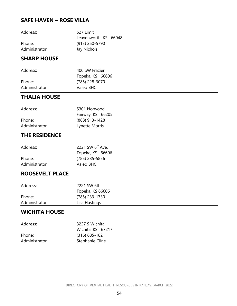### **SAFE HAVEN – ROSE VILLA**

| Address:       | 527 Limit             |  |
|----------------|-----------------------|--|
|                | Leavenworth, KS 66048 |  |
| Phone:         | (913) 250-5790        |  |
| Administrator: | Jay Nichols           |  |
|                |                       |  |

#### **SHARP HOUSE**

| Address:       | 400 SW Frazier   |  |
|----------------|------------------|--|
|                | Topeka, KS 66606 |  |
| Phone:         | (785) 228-3070   |  |
| Administrator: | Valeo BHC        |  |

### **THALIA HOUSE**

| Address:       | 5301 Norwood      |  |
|----------------|-------------------|--|
|                | Fairway, KS 66205 |  |
| Phone:         | (888) 913-1428    |  |
| Administrator: | Lynette Morris    |  |

### **THE RESIDENCE**

| Address:       | 2221 SW 6 <sup>th</sup> Ave. |
|----------------|------------------------------|
|                | Topeka, KS 66606             |
| Phone:         | (785) 235-5856               |
| Administrator: | Valeo BHC                    |

### **ROOSEVELT PLACE**

| Address:       | 2221 SW 6th      |  |
|----------------|------------------|--|
|                | Topeka, KS 66606 |  |
| Phone:         | (785) 233-1730   |  |
| Administrator: | Lisa Hastings    |  |
|                |                  |  |

### **WICHITA HOUSE**

| Address:       | 3227 S Wichita    |  |
|----------------|-------------------|--|
|                | Wichita, KS 67217 |  |
| Phone:         | $(316)$ 685-1821  |  |
| Administrator: | Stephanie Cline   |  |
|                |                   |  |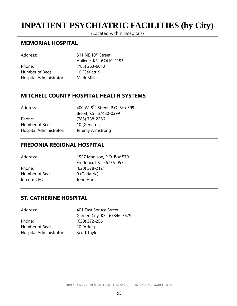## <span id="page-54-0"></span>**INPATIENT PSYCHIATRIC FACILITIES (by City)**

(Located within Hospitals)

#### **MEMORIAL HOSPITAL**

| Address:                | 511 NE 10 <sup>th</sup> Street |  |
|-------------------------|--------------------------------|--|
|                         | Abilene, KS 67410-2153         |  |
| Phone:                  | $(785)$ 263-6610               |  |
| Number of Beds:         | 10 (Geriatric)                 |  |
| Hospital Administrator: | Mark Miller                    |  |

#### **MITCHELL COUNTY HOSPITAL HEALTH SYSTEMS**

| Address:                | 400 W. 8 <sup>TH</sup> Street, P.O. Box 399 |
|-------------------------|---------------------------------------------|
|                         | Beloit, KS 67420-0399                       |
| Phone:                  | (785) 738-2266                              |
| Number of Beds:         | 10 (Geriatric)                              |
| Hospital Administrator: | Jeremy Armstrong                            |

#### **FREDONIA REGIONAL HOSPITAL**

| Address:        | 1527 Madison, P.O. Box 579 |  |
|-----------------|----------------------------|--|
|                 | Fredonia, KS 66736-0579    |  |
| Phone:          | $(620)$ 378-2121           |  |
| Number of Beds: | 9 (Geriatric)              |  |
| Interim CEO:    | John Hart                  |  |
|                 |                            |  |

### **ST. CATHERINE HOSPITAL**

| Address:                | 401 East Spruce Street     |  |
|-------------------------|----------------------------|--|
|                         | Garden City, KS 67846-5679 |  |
| Phone:                  | $(620)$ 272-2561           |  |
| Number of Beds:         | 10 (Adult)                 |  |
| Hospital Administrator: | Scott Taylor               |  |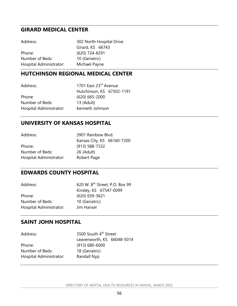#### **GIRARD MEDICAL CENTER**

| Address:                | 302 North Hospital Drive |
|-------------------------|--------------------------|
|                         | Girard, KS 66743         |
| Phone:                  | (620) 724-8291           |
| Number of Beds:         | 10 (Geriatric)           |
| Hospital Administrator: | Michael Payne            |

### **HUTCHINSON REGIONAL MEDICAL CENTER**

| Address:                | 1701 East 23rd Avenue     |
|-------------------------|---------------------------|
|                         | Hutchinson, KS 67502-1191 |
| Phone:                  | $(620) 665 - 2000$        |
| Number of Beds:         | 13 (Adult)                |
| Hospital Administrator: | Kenneth Johnson           |

#### **UNIVERSITY OF KANSAS HOSPITAL**

| Address:                | 3901 Rainbow Blvd.         |
|-------------------------|----------------------------|
|                         | Kansas City, KS 66160-7200 |
| Phone:                  | $(913) 588 - 7332$         |
| Number of Beds:         | 26 (Adult)                 |
| Hospital Administrator: | Robert Page                |

### **EDWARDS COUNTY HOSPITAL**

| Address:                | 620 W. 8 <sup>th</sup> Street, P.O. Box 99 |
|-------------------------|--------------------------------------------|
|                         | Kinsley, KS 67547-0099                     |
| Phone:                  | $(620) 659 - 3621$                         |
| Number of Beds:         | 10 (Geriatric)                             |
| Hospital Administrator: | Jim Hansel                                 |

### **SAINT JOHN HOSPITAL**

| Address:                | 3500 South 4 <sup>th</sup> Street |  |
|-------------------------|-----------------------------------|--|
|                         | Leavenworth, KS 66048-5014        |  |
| Phone:                  | $(913) 680 - 6000$                |  |
| Number of Beds:         | 18 (Geriatric)                    |  |
| Hospital Administrator: | Randall Nyp                       |  |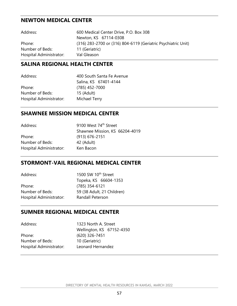### **NEWTON MEDICAL CENTER**

| Address:                | 600 Medical Center Drive, P.O. Box 308                        |
|-------------------------|---------------------------------------------------------------|
|                         | Newton, KS 67114-0308                                         |
| Phone:                  | (316) 283-2700 or (316) 804-6119 (Geriatric Psychiatric Unit) |
| Number of Beds:         | 11 (Geriatric)                                                |
| Hospital Administrator: | Val Gleason                                                   |

#### **SALINA REGIONAL HEALTH CENTER**

| Address:                | 400 South Santa Fe Avenue |
|-------------------------|---------------------------|
|                         | Salina, KS 67401-4144     |
| Phone:                  | (785) 452-7000            |
| Number of Beds:         | 15 (Adult)                |
| Hospital Administrator: | Michael Terry             |

#### **SHAWNEE MISSION MEDICAL CENTER**

| Shawnee Mission, KS 66204-4019 |
|--------------------------------|
|                                |
|                                |
|                                |
|                                |

#### **STORMONT-VAIL REGIONAL MEDICAL CENTER**

| Address:                | 1500 SW 10 <sup>th</sup> Street |
|-------------------------|---------------------------------|
|                         | Topeka, KS 66604-1353           |
| Phone:                  | $(785)$ 354-6121                |
| Number of Beds:         | 59 (38 Adult, 21 Children)      |
| Hospital Administrator: | <b>Randall Peterson</b>         |

### **SUMNER REGIONAL MEDICAL CENTER**

| Address:                | 1323 North A. Street      |
|-------------------------|---------------------------|
|                         | Wellington, KS 67152-4350 |
| Phone:                  | (620) 326-7451            |
| Number of Beds:         | 10 (Geriatric)            |
| Hospital Administrator: | Leonard Hernandez         |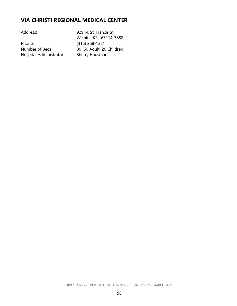### **VIA CHRISTI REGIONAL MEDICAL CENTER**

| Address:                | 929 N. St. Francis St.     |
|-------------------------|----------------------------|
|                         | Wichita, KS 67214-3882     |
| Phone:                  | $(316)$ 268-1381           |
| Number of Beds:         | 80 (60 Adult, 20 Children) |
| Hospital Administrator: | Sherry Hausman             |
|                         |                            |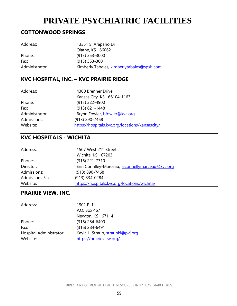## **PRIVATE PSYCHIATRIC FACILITIES**

### <span id="page-58-0"></span>**COTTONWOOD SPRINGS**

| Address:       | 13351 S. Arapaho Dr                        |
|----------------|--------------------------------------------|
|                | Olathe, KS 66062                           |
| Phone:         | $(913)$ 353-3000                           |
| Fax:           | $(913)$ 353-3001                           |
| Administrator: | Kimberly Tabales, kimberlytabales@spsh.com |

### **KVC HOSPITAL, INC. – KVC PRAIRIE RIDGE**

| Address:       | 4300 Brenner Drive                              |
|----------------|-------------------------------------------------|
|                | Kansas City, KS 66104-1163                      |
| Phone:         | (913) 322-4900                                  |
| Fax:           | $(913) 621 - 1448$                              |
| Administrator: | Brynn Fowler, bfowler@kvc.org                   |
| Admissions:    | (913) 890-7468                                  |
| Website:       | https://hospitals.kvc.org/locations/kansascity/ |

## **KVC HOSPITALS - WICHITA**

| Address:               | 1507 West 21 <sup>st</sup> Street               |
|------------------------|-------------------------------------------------|
|                        | Wichita, KS 67203                               |
| Phone:                 | $(316)$ 221-7310                                |
| Director:              | Erin Conniley-Marceau, econnellymarceau@kvc.org |
| Admissions:            | (913) 890-7468                                  |
| <b>Admissions Fax:</b> | (913) 334-0284                                  |
| Website:               | https://hospitals.kvc.org/locations/wichita/    |

### **PRAIRIE VIEW, INC.**

| Address:                | 1901 E. 1st                       |
|-------------------------|-----------------------------------|
|                         | P.O. Box 467                      |
|                         | Newton, KS 67114                  |
| Phone:                  | $(316)$ 284-6400                  |
| Fax:                    | $(316)$ 284-6491                  |
| Hospital Administrator: | Kayla L. Straub, straubkl@pvi.org |
| Website:                | https://prairieview.org/          |